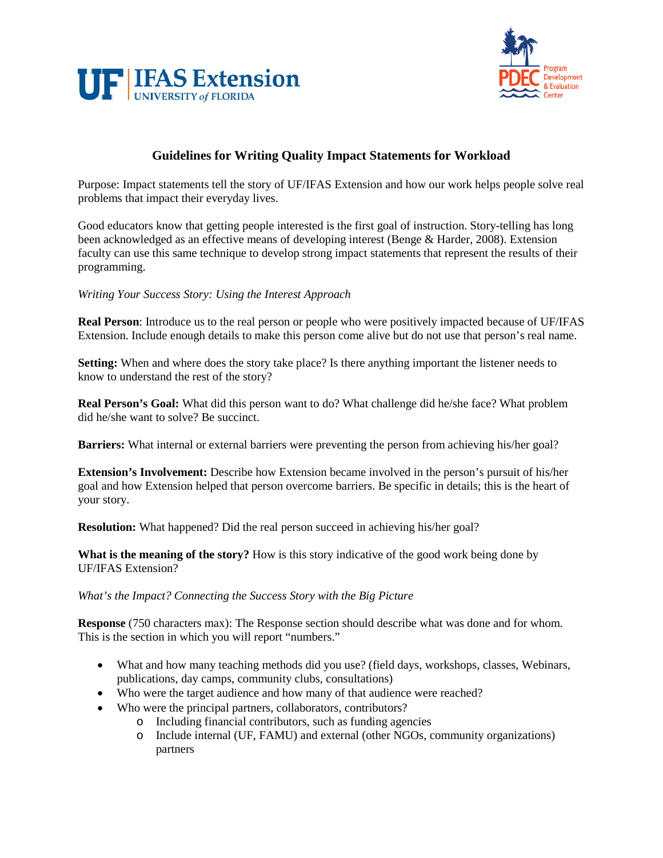



# **Guidelines for Writing Quality Impact Statements for Workload**

Purpose: Impact statements tell the story of UF/IFAS Extension and how our work helps people solve real problems that impact their everyday lives.

Good educators know that getting people interested is the first goal of instruction. Story-telling has long been acknowledged as an effective means of developing interest (Benge & Harder, 2008). Extension faculty can use this same technique to develop strong impact statements that represent the results of their programming.

## *Writing Your Success Story: Using the Interest Approach*

**Real Person**: Introduce us to the real person or people who were positively impacted because of UF/IFAS Extension. Include enough details to make this person come alive but do not use that person's real name.

**Setting:** When and where does the story take place? Is there anything important the listener needs to know to understand the rest of the story?

**Real Person's Goal:** What did this person want to do? What challenge did he/she face? What problem did he/she want to solve? Be succinct.

**Barriers:** What internal or external barriers were preventing the person from achieving his/her goal?

**Extension's Involvement:** Describe how Extension became involved in the person's pursuit of his/her goal and how Extension helped that person overcome barriers. Be specific in details; this is the heart of your story.

**Resolution:** What happened? Did the real person succeed in achieving his/her goal?

**What is the meaning of the story?** How is this story indicative of the good work being done by UF/IFAS Extension?

## *What's the Impact? Connecting the Success Story with the Big Picture*

**Response** (750 characters max): The Response section should describe what was done and for whom. This is the section in which you will report "numbers."

- What and how many teaching methods did you use? (field days, workshops, classes, Webinars, publications, day camps, community clubs, consultations)
- Who were the target audience and how many of that audience were reached?
- Who were the principal partners, collaborators, contributors?
	- o Including financial contributors, such as funding agencies
	- o Include internal (UF, FAMU) and external (other NGOs, community organizations) partners